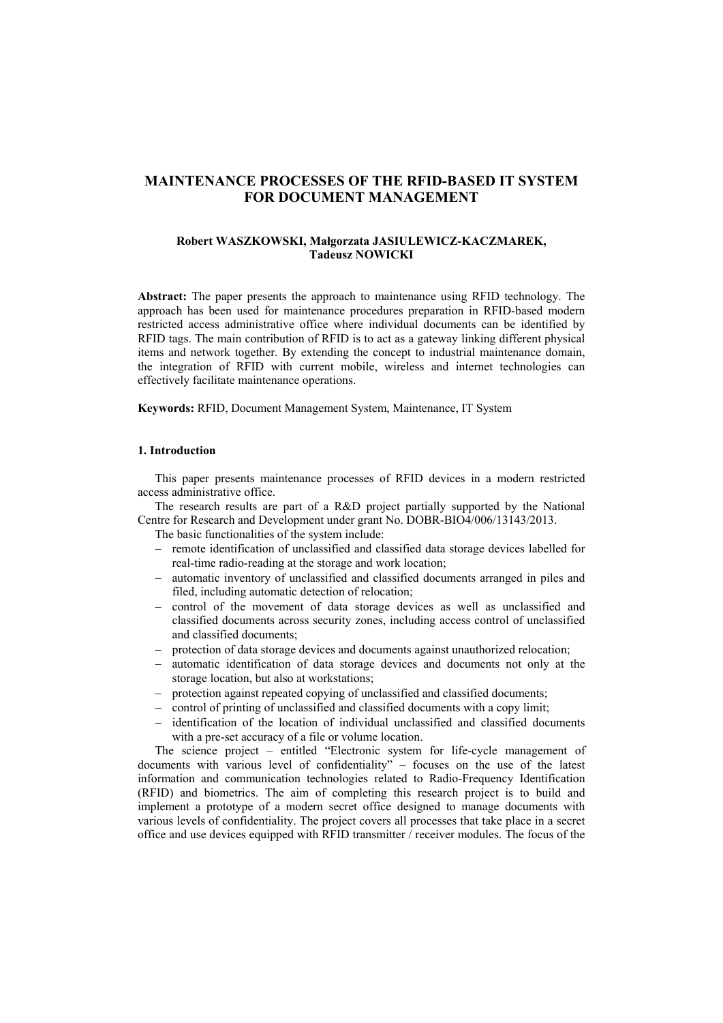# **MAINTENANCE PROCESSES OF THE RFID-BASED IT SYSTEM FOR DOCUMENT MANAGEMENT**

### **Robert WASZKOWSKI, Małgorzata JASIULEWICZ-KACZMAREK, Tadeusz NOWICKI**

**Abstract:** The paper presents the approach to maintenance using RFID technology. The approach has been used for maintenance procedures preparation in RFID-based modern restricted access administrative office where individual documents can be identified by RFID tags. The main contribution of RFID is to act as a gateway linking different physical items and network together. By extending the concept to industrial maintenance domain, the integration of RFID with current mobile, wireless and internet technologies can effectively facilitate maintenance operations.

**Keywords:** RFID, Document Management System, Maintenance, IT System

# **1. Introduction**

This paper presents maintenance processes of RFID devices in a modern restricted access administrative office.

The research results are part of a R&D project partially supported by the National Centre for Research and Development under grant No. DOBR-BIO4/006/13143/2013.

The basic functionalities of the system include:

- remote identification of unclassified and classified data storage devices labelled for real-time radio-reading at the storage and work location;
- automatic inventory of unclassified and classified documents arranged in piles and filed, including automatic detection of relocation;
- control of the movement of data storage devices as well as unclassified and classified documents across security zones, including access control of unclassified and classified documents;
- protection of data storage devices and documents against unauthorized relocation;
- automatic identification of data storage devices and documents not only at the storage location, but also at workstations;
- protection against repeated copying of unclassified and classified documents;
- control of printing of unclassified and classified documents with a copy limit;
- identification of the location of individual unclassified and classified documents with a pre-set accuracy of a file or volume location.

The science project – entitled "Electronic system for life-cycle management of documents with various level of confidentiality" – focuses on the use of the latest information and communication technologies related to Radio-Frequency Identification (RFID) and biometrics. The aim of completing this research project is to build and implement a prototype of a modern secret office designed to manage documents with various levels of confidentiality. The project covers all processes that take place in a secret office and use devices equipped with RFID transmitter / receiver modules. The focus of the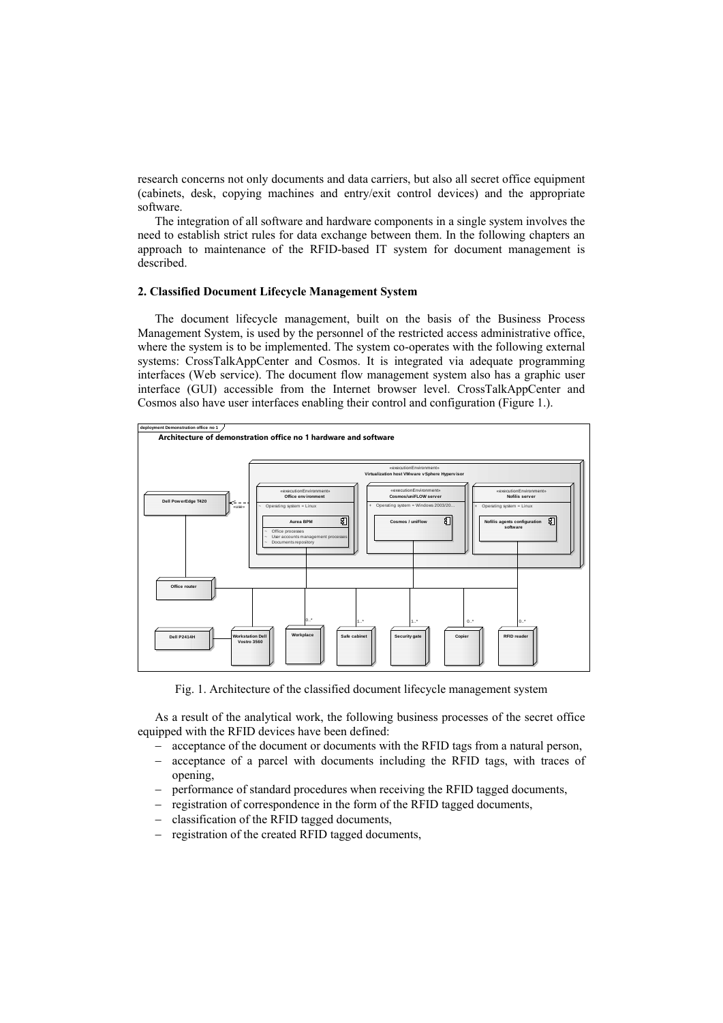research concerns not only documents and data carriers, but also all secret office equipment (cabinets, desk, copying machines and entry/exit control devices) and the appropriate software.

The integration of all software and hardware components in a single system involves the need to establish strict rules for data exchange between them. In the following chapters an approach to maintenance of the RFID-based IT system for document management is described.

# **2. Classified Document Lifecycle Management System**

The document lifecycle management, built on the basis of the Business Process Management System, is used by the personnel of the restricted access administrative office, where the system is to be implemented. The system co-operates with the following external systems: CrossTalkAppCenter and Cosmos. It is integrated via adequate programming interfaces (Web service). The document flow management system also has a graphic user interface (GUI) accessible from the Internet browser level. CrossTalkAppCenter and Cosmos also have user interfaces enabling their control and configuration (Figure 1.).



Fig. 1. Architecture of the classified document lifecycle management system

As a result of the analytical work, the following business processes of the secret office equipped with the RFID devices have been defined:

- acceptance of the document or documents with the RFID tags from a natural person,
- acceptance of a parcel with documents including the RFID tags, with traces of opening,
- performance of standard procedures when receiving the RFID tagged documents,
- registration of correspondence in the form of the RFID tagged documents,
- classification of the RFID tagged documents,
- registration of the created RFID tagged documents,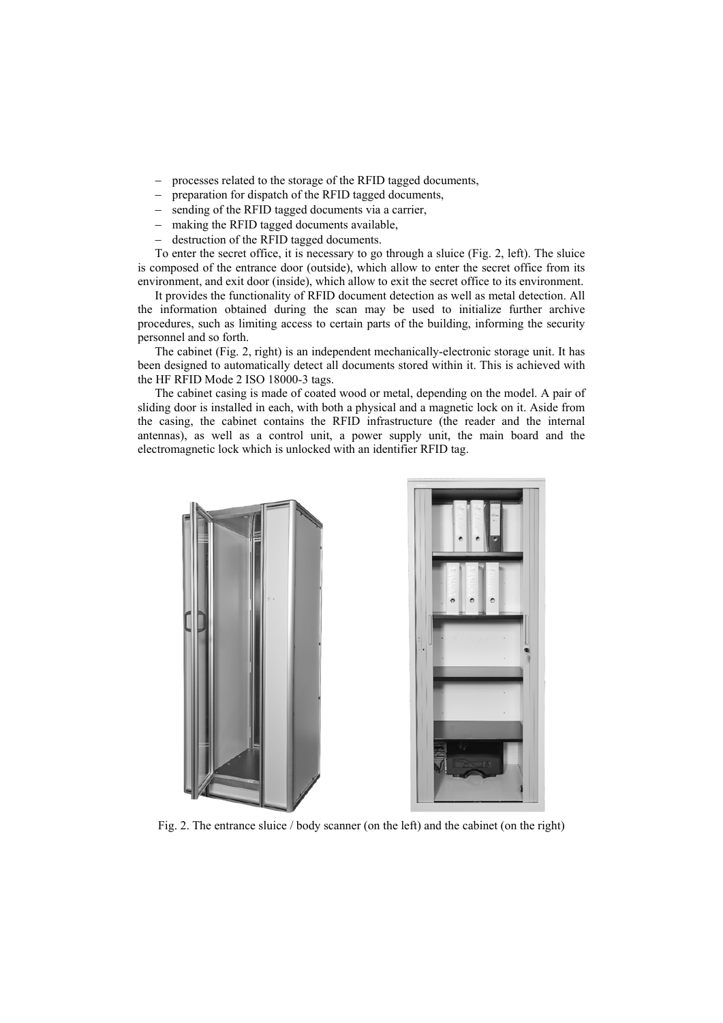- processes related to the storage of the RFID tagged documents,
- preparation for dispatch of the RFID tagged documents,
- sending of the RFID tagged documents via a carrier,
- making the RFID tagged documents available,
- destruction of the RFID tagged documents.

To enter the secret office, it is necessary to go through a sluice (Fig. 2, left). The sluice is composed of the entrance door (outside), which allow to enter the secret office from its environment, and exit door (inside), which allow to exit the secret office to its environment.

It provides the functionality of RFID document detection as well as metal detection. All the information obtained during the scan may be used to initialize further archive procedures, such as limiting access to certain parts of the building, informing the security personnel and so forth.

The cabinet (Fig. 2, right) is an independent mechanically-electronic storage unit. It has been designed to automatically detect all documents stored within it. This is achieved with the HF RFID Mode 2 ISO 18000-3 tags.

The cabinet casing is made of coated wood or metal, depending on the model. A pair of sliding door is installed in each, with both a physical and a magnetic lock on it. Aside from the casing, the cabinet contains the RFID infrastructure (the reader and the internal antennas), as well as a control unit, a power supply unit, the main board and the electromagnetic lock which is unlocked with an identifier RFID tag.



Fig. 2. The entrance sluice / body scanner (on the left) and the cabinet (on the right)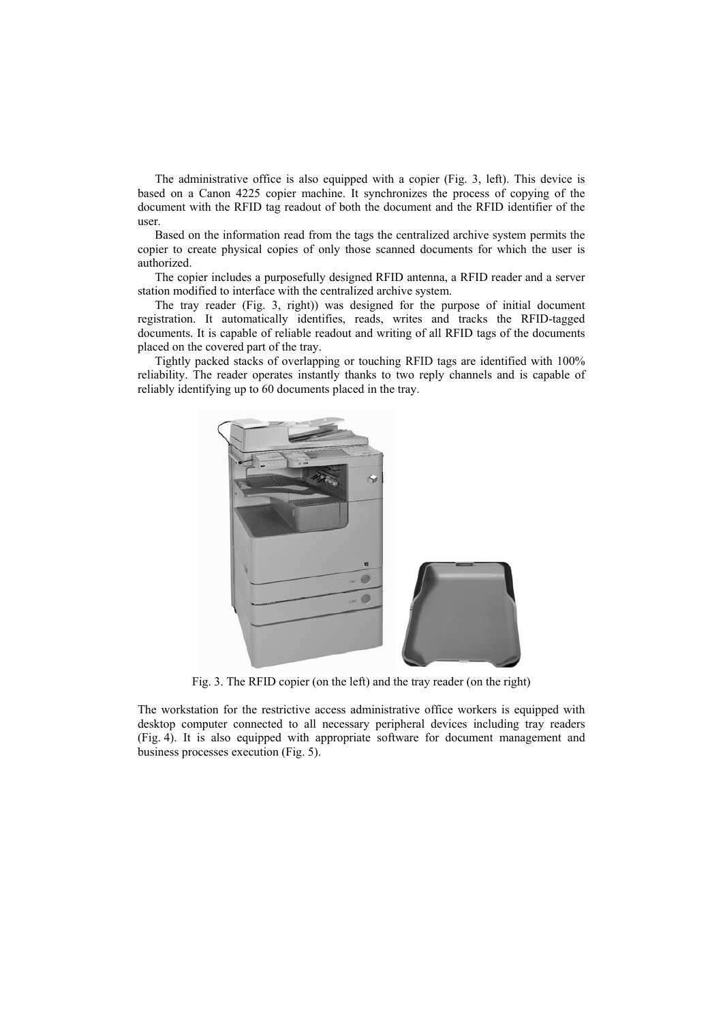The administrative office is also equipped with a copier (Fig. 3, left). This device is based on a Canon 4225 copier machine. It synchronizes the process of copying of the document with the RFID tag readout of both the document and the RFID identifier of the user.

Based on the information read from the tags the centralized archive system permits the copier to create physical copies of only those scanned documents for which the user is authorized.

The copier includes a purposefully designed RFID antenna, a RFID reader and a server station modified to interface with the centralized archive system.

The tray reader (Fig. 3, right)) was designed for the purpose of initial document registration. It automatically identifies, reads, writes and tracks the RFID-tagged documents. It is capable of reliable readout and writing of all RFID tags of the documents placed on the covered part of the tray.

Tightly packed stacks of overlapping or touching RFID tags are identified with 100% reliability. The reader operates instantly thanks to two reply channels and is capable of reliably identifying up to 60 documents placed in the tray.



Fig. 3. The RFID copier (on the left) and the tray reader (on the right)

The workstation for the restrictive access administrative office workers is equipped with desktop computer connected to all necessary peripheral devices including tray readers (Fig. 4). It is also equipped with appropriate software for document management and business processes execution (Fig. 5).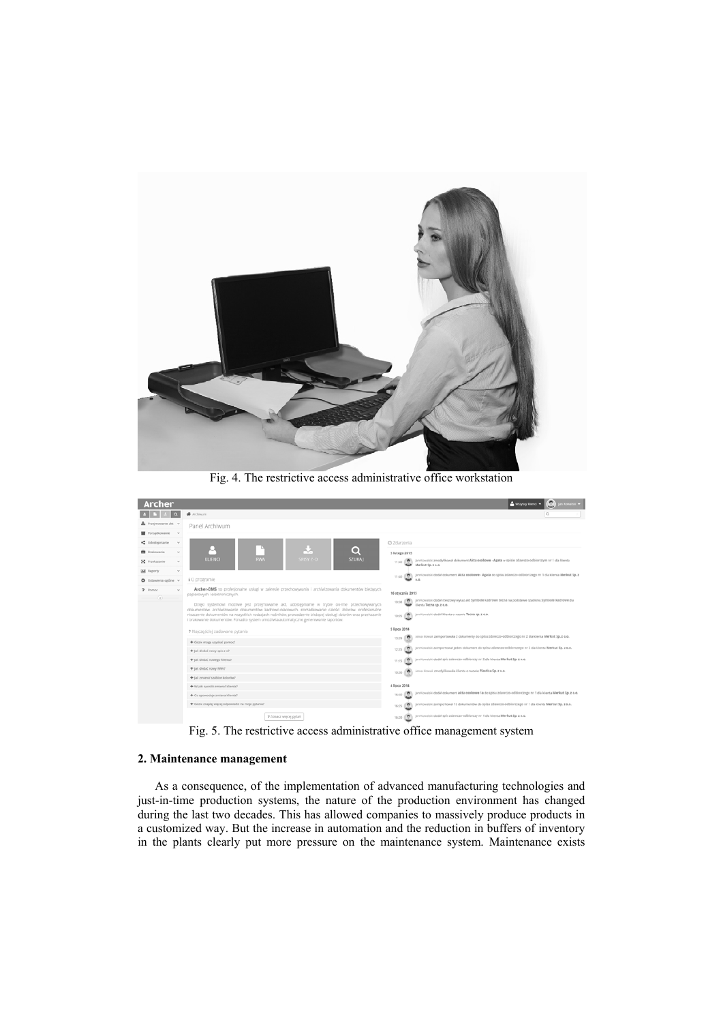

Fig. 4. The restrictive access administrative office workstation

| Archer                           |                                                                                                                                                                                                                                                                                                                                                                                                                  | Whzyscy klienci =<br>n Kowalski =                                                                                                                                                                                            |
|----------------------------------|------------------------------------------------------------------------------------------------------------------------------------------------------------------------------------------------------------------------------------------------------------------------------------------------------------------------------------------------------------------------------------------------------------------|------------------------------------------------------------------------------------------------------------------------------------------------------------------------------------------------------------------------------|
|                                  | W Archiwum                                                                                                                                                                                                                                                                                                                                                                                                       | l Q.                                                                                                                                                                                                                         |
| Przejmowanie akt v               | Panel Archiwum                                                                                                                                                                                                                                                                                                                                                                                                   |                                                                                                                                                                                                                              |
| Porzadkowanie<br>$\sim$          |                                                                                                                                                                                                                                                                                                                                                                                                                  |                                                                                                                                                                                                                              |
| <br>Udostępnianie<br>$\sim$      |                                                                                                                                                                                                                                                                                                                                                                                                                  | @ Zdarzenia                                                                                                                                                                                                                  |
| <b>B</b> Brakowanie<br>$\sim$    | Q                                                                                                                                                                                                                                                                                                                                                                                                                | 5 lutego 2015                                                                                                                                                                                                                |
| 50 Przekazanie<br>$\sim$         | <b>KLIENCI</b><br><b>RWA</b><br>SPISY Z-O<br><b>SZUKAJ</b>                                                                                                                                                                                                                                                                                                                                                       | Jan Kowalski zmodyfikował dokument Akta osobowe - Agata w spisie zdawczo-odbiorczym nr 1 dla klenta<br>o.<br>11:40<br>Merkut Sp. z o.o.                                                                                      |
| <b>M</b> Raporty<br>$\checkmark$ |                                                                                                                                                                                                                                                                                                                                                                                                                  | Jan Kowalski dodał dokument Akta osobowe - Agata do spisu zdawczo-odbiorczego nr 1 dla klenta Merkut Sp. z<br>11:40                                                                                                          |
| O Ustawienia ogólne v            | 10 programle                                                                                                                                                                                                                                                                                                                                                                                                     | 0.0.                                                                                                                                                                                                                         |
| 7 Pomoc<br>$\sim$<br>$\odot$     | Archer-DMS to profesionalne uslugi w zakresie przechowywania i archiwizowania dokumentów bieżących<br>papierowych i elektronicznych.                                                                                                                                                                                                                                                                             | 16 stycznia 2015                                                                                                                                                                                                             |
|                                  | Dzięki systemowi możliwe jest przejmowanie akt, udostępnianie w trybie on-line przechowywanych<br>dokumentów, archiwizowanie dokumentów kadrowo-piacowych, porzadkowanie całości zbiorów, profesionalne<br>niszczenie dokumentów na wszystkich rodzajach nośników, prowadzenie bieżącej obsługi zbiorów oraz przekazanie<br>I brakowanie dokumentów. Ponadto system umożliwia automatyczne generowanie raportów. | Jan Kowalski dodał rzeczowy wykaz akt Symbole kadrowe techa na podstawie szablonu Symbole kadrowe dla<br>$\bullet$<br>10:08<br>klenta Tecna sp. z o.o.<br>jan Kowalski dodał klienta o nazwie Tecna sp. z o.o.<br>o<br>10:05 |
|                                  | ? Najczęściej zadawane pytania                                                                                                                                                                                                                                                                                                                                                                                   | 5 lipca 2014                                                                                                                                                                                                                 |
|                                  | + Gdzie moge uzyskać pomoc?                                                                                                                                                                                                                                                                                                                                                                                      | Anna Nowak zaimportowała 2 dokumenty do spisu zdawczo-odbiorczego nr 2 dla klienta Merkut Sp. z o.o.<br>13:09                                                                                                                |
|                                  | + Jak dodać nowy spis z-o?                                                                                                                                                                                                                                                                                                                                                                                       | Jan Kowalski zaimportował jeden dokument do spisu zdawczo-odbiorczego nr 2 dla klienta Merkut Sp. z o.o.<br>۰<br>12:35                                                                                                       |
|                                  | + Jak dodać nowego klienta?                                                                                                                                                                                                                                                                                                                                                                                      | jan Kowalski dodał spis zdawczo-odbiorczy nr 2 dla klienta Merkut Sp. z o.o.<br>11:15                                                                                                                                        |
|                                  | + Jak dodać nowy RWA?                                                                                                                                                                                                                                                                                                                                                                                            | Anna Nowak zmodyfikowała klienta o nazwie Plastica Sp. z o.o.<br>$\bullet$<br>10:30                                                                                                                                          |
|                                  | + Jak zmienić szablon kolorów?                                                                                                                                                                                                                                                                                                                                                                                   |                                                                                                                                                                                                                              |
|                                  | + W jaki sposób zmienić klienta?                                                                                                                                                                                                                                                                                                                                                                                 | 4 lipca 2014                                                                                                                                                                                                                 |
|                                  | + Co spowoduje zmiana klienta?                                                                                                                                                                                                                                                                                                                                                                                   | jan Kowalski dodał dokument akta osobowe 1a do spisu zdawczo-odbiorczego nr 1 dla klienta Merkut Sp. z o.o.<br>÷<br>16:40                                                                                                    |
|                                  | + Gdzie znajdę więcej odpowiedzi na moje pytania?                                                                                                                                                                                                                                                                                                                                                                | jan Kowalski zaimportował 15 dokumentów do spisu zdawczo-odbiorczego nr 1 dia klienta Merkut Sp. z o.o.<br>٠<br>16:25                                                                                                        |
|                                  | 9 Zobacz więcej pytań                                                                                                                                                                                                                                                                                                                                                                                            | Jan Kowalski dodał spis zdawczo-odbiorczy nr 1 dla klienta Merkut Sp. z o.o.<br>÷<br>16:20                                                                                                                                   |

Fig. 5. The restrictive access administrative office management system

## **2. Maintenance management**

As a consequence, of the implementation of advanced manufacturing technologies and just-in-time production systems, the nature of the production environment has changed during the last two decades. This has allowed companies to massively produce products in a customized way. But the increase in automation and the reduction in buffers of inventory in the plants clearly put more pressure on the maintenance system. Maintenance exists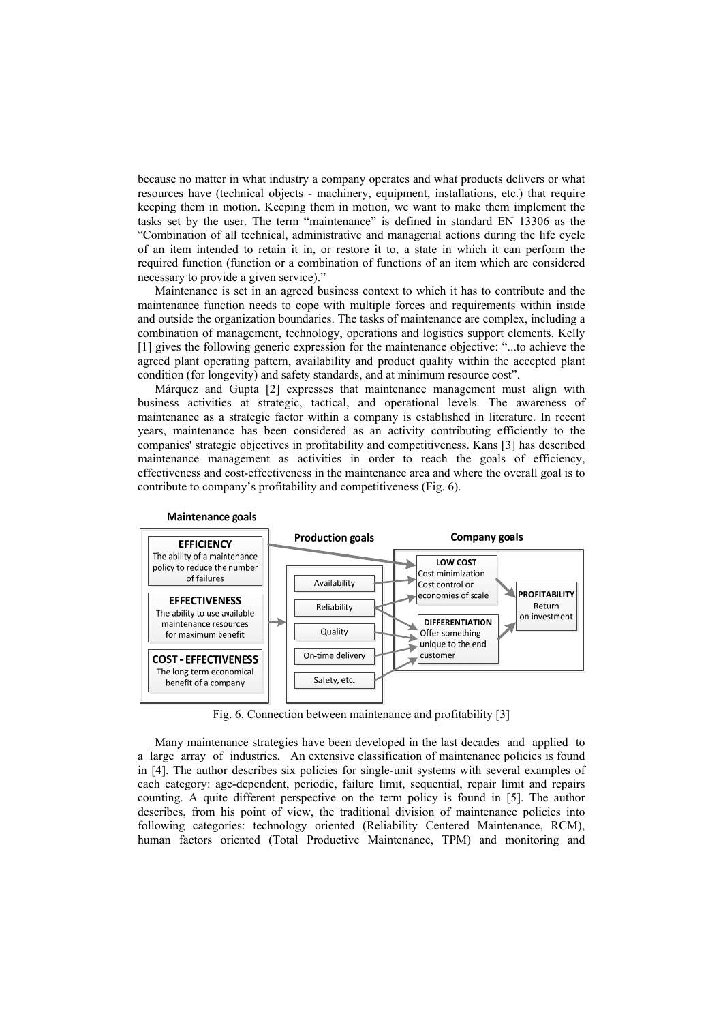because no matter in what industry a company operates and what products delivers or what resources have (technical objects - machinery, equipment, installations, etc.) that require keeping them in motion. Keeping them in motion, we want to make them implement the tasks set by the user. The term "maintenance" is defined in standard EN 13306 as the "Combination of all technical, administrative and managerial actions during the life cycle of an item intended to retain it in, or restore it to, a state in which it can perform the required function (function or a combination of functions of an item which are considered necessary to provide a given service)."

Maintenance is set in an agreed business context to which it has to contribute and the maintenance function needs to cope with multiple forces and requirements within inside and outside the organization boundaries. The tasks of maintenance are complex, including a combination of management, technology, operations and logistics support elements. Kelly [1] gives the following generic expression for the maintenance objective: "...to achieve the agreed plant operating pattern, availability and product quality within the accepted plant condition (for longevity) and safety standards, and at minimum resource cost".

Márquez and Gupta [2] expresses that maintenance management must align with business activities at strategic, tactical, and operational levels. The awareness of maintenance as a strategic factor within a company is established in literature. In recent years, maintenance has been considered as an activity contributing efficiently to the companies' strategic objectives in profitability and competitiveness. Kans [3] has described maintenance management as activities in order to reach the goals of efficiency, effectiveness and cost-effectiveness in the maintenance area and where the overall goal is to contribute to company's profitability and competitiveness (Fig. 6).



**Maintenance goals** 

Fig. 6. Connection between maintenance and profitability [3]

Many maintenance strategies have been developed in the last decades and applied to a large array of industries. An extensive classification of maintenance policies is found in [4]. The author describes six policies for single-unit systems with several examples of each category: age-dependent, periodic, failure limit, sequential, repair limit and repairs counting. A quite different perspective on the term policy is found in [5]. The author describes, from his point of view, the traditional division of maintenance policies into following categories: technology oriented (Reliability Centered Maintenance, RCM), human factors oriented (Total Productive Maintenance, TPM) and monitoring and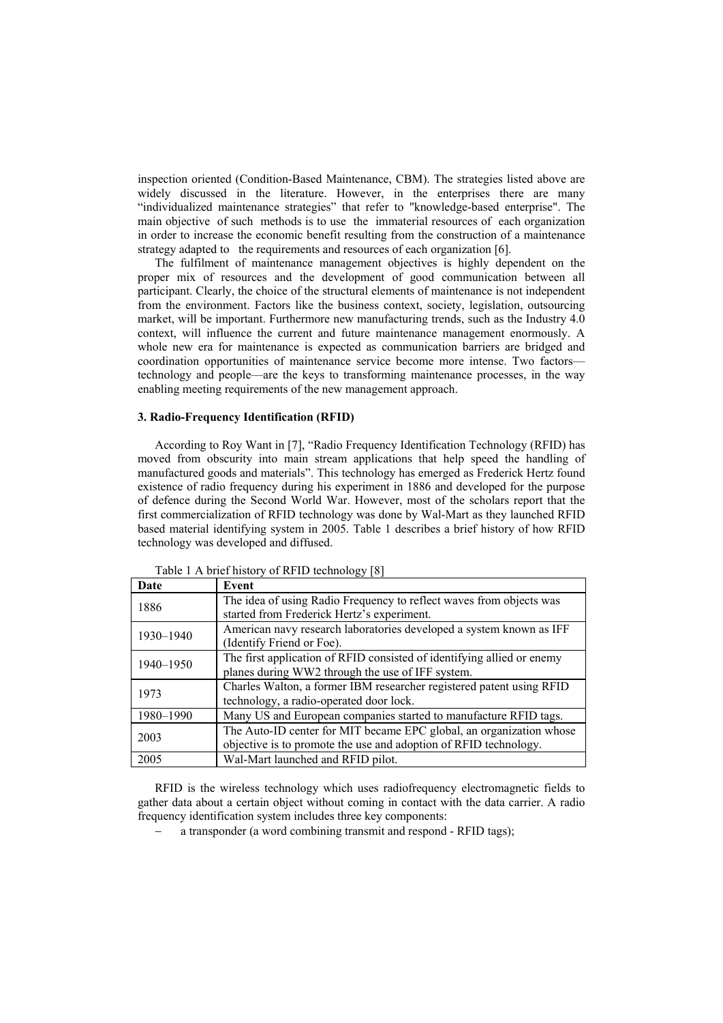inspection oriented (Condition-Based Maintenance, CBM). The strategies listed above are widely discussed in the literature. However, in the enterprises there are many "individualized maintenance strategies" that refer to "knowledge-based enterprise". The main objective of such methods is to use the immaterial resources of each organization in order to increase the economic benefit resulting from the construction of a maintenance strategy adapted to the requirements and resources of each organization [6].

The fulfilment of maintenance management objectives is highly dependent on the proper mix of resources and the development of good communication between all participant. Clearly, the choice of the structural elements of maintenance is not independent from the environment. Factors like the business context, society, legislation, outsourcing market, will be important. Furthermore new manufacturing trends, such as the Industry 4.0 context, will influence the current and future maintenance management enormously. A whole new era for maintenance is expected as communication barriers are bridged and coordination opportunities of maintenance service become more intense. Two factors technology and people—are the keys to transforming maintenance processes, in the way enabling meeting requirements of the new management approach.

#### **3. Radio-Frequency Identification (RFID)**

According to Roy Want in [7], "Radio Frequency Identification Technology (RFID) has moved from obscurity into main stream applications that help speed the handling of manufactured goods and materials". This technology has emerged as Frederick Hertz found existence of radio frequency during his experiment in 1886 and developed for the purpose of defence during the Second World War. However, most of the scholars report that the first commercialization of RFID technology was done by Wal-Mart as they launched RFID based material identifying system in 2005. Table 1 describes a brief history of how RFID technology was developed and diffused.

| Date      | Event                                                                  |  |
|-----------|------------------------------------------------------------------------|--|
| 1886      | The idea of using Radio Frequency to reflect waves from objects was    |  |
|           | started from Frederick Hertz's experiment.                             |  |
| 1930–1940 | American navy research laboratories developed a system known as IFF    |  |
|           | (Identify Friend or Foe).                                              |  |
| 1940-1950 | The first application of RFID consisted of identifying allied or enemy |  |
|           | planes during WW2 through the use of IFF system.                       |  |
| 1973      | Charles Walton, a former IBM researcher registered patent using RFID   |  |
|           | technology, a radio-operated door lock.                                |  |
| 1980-1990 | Many US and European companies started to manufacture RFID tags.       |  |
| 2003      | The Auto-ID center for MIT became EPC global, an organization whose    |  |
|           | objective is to promote the use and adoption of RFID technology.       |  |
| 2005      | Wal-Mart launched and RFID pilot.                                      |  |

Table 1 A brief history of RFID technology [8]

RFID is the wireless technology which uses radiofrequency electromagnetic fields to gather data about a certain object without coming in contact with the data carrier. A radio frequency identification system includes three key components:

a transponder (a word combining transmit and respond - RFID tags);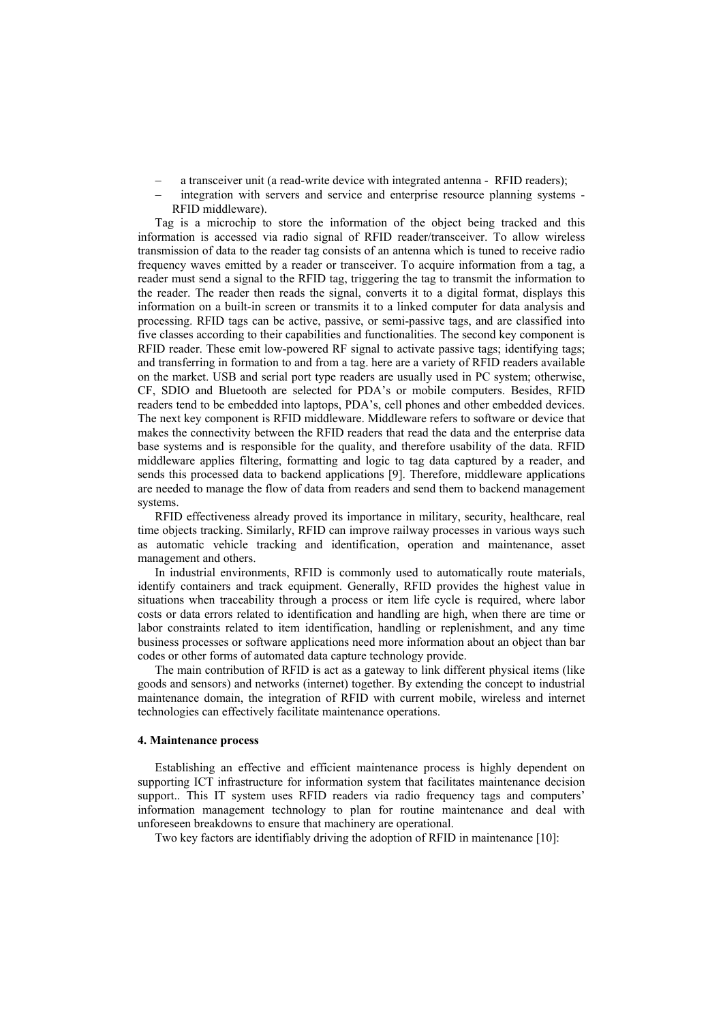- a transceiver unit (a read-write device with integrated antenna RFID readers);
- integration with servers and service and enterprise resource planning systems RFID middleware).

Tag is a microchip to store the information of the object being tracked and this information is accessed via radio signal of RFID reader/transceiver. To allow wireless transmission of data to the reader tag consists of an antenna which is tuned to receive radio frequency waves emitted by a reader or transceiver. To acquire information from a tag, a reader must send a signal to the RFID tag, triggering the tag to transmit the information to the reader. The reader then reads the signal, converts it to a digital format, displays this information on a built-in screen or transmits it to a linked computer for data analysis and processing. RFID tags can be active, passive, or semi-passive tags, and are classified into five classes according to their capabilities and functionalities. The second key component is RFID reader. These emit low-powered RF signal to activate passive tags; identifying tags; and transferring in formation to and from a tag. here are a variety of RFID readers available on the market. USB and serial port type readers are usually used in PC system; otherwise, CF, SDIO and Bluetooth are selected for PDA's or mobile computers. Besides, RFID readers tend to be embedded into laptops, PDA's, cell phones and other embedded devices. The next key component is RFID middleware. Middleware refers to software or device that makes the connectivity between the RFID readers that read the data and the enterprise data base systems and is responsible for the quality, and therefore usability of the data. RFID middleware applies filtering, formatting and logic to tag data captured by a reader, and sends this processed data to backend applications [9]. Therefore, middleware applications are needed to manage the flow of data from readers and send them to backend management systems.

RFID effectiveness already proved its importance in military, security, healthcare, real time objects tracking. Similarly, RFID can improve railway processes in various ways such as automatic vehicle tracking and identification, operation and maintenance, asset management and others.

In industrial environments, RFID is commonly used to automatically route materials, identify containers and track equipment. Generally, RFID provides the highest value in situations when traceability through a process or item life cycle is required, where labor costs or data errors related to identification and handling are high, when there are time or labor constraints related to item identification, handling or replenishment, and any time business processes or software applications need more information about an object than bar codes or other forms of automated data capture technology provide.

The main contribution of RFID is act as a gateway to link different physical items (like goods and sensors) and networks (internet) together. By extending the concept to industrial maintenance domain, the integration of RFID with current mobile, wireless and internet technologies can effectively facilitate maintenance operations.

#### **4. Maintenance process**

Establishing an effective and efficient maintenance process is highly dependent on supporting ICT infrastructure for information system that facilitates maintenance decision support.. This IT system uses RFID readers via radio frequency tags and computers' information management technology to plan for routine maintenance and deal with unforeseen breakdowns to ensure that machinery are operational.

Two key factors are identifiably driving the adoption of RFID in maintenance [10]: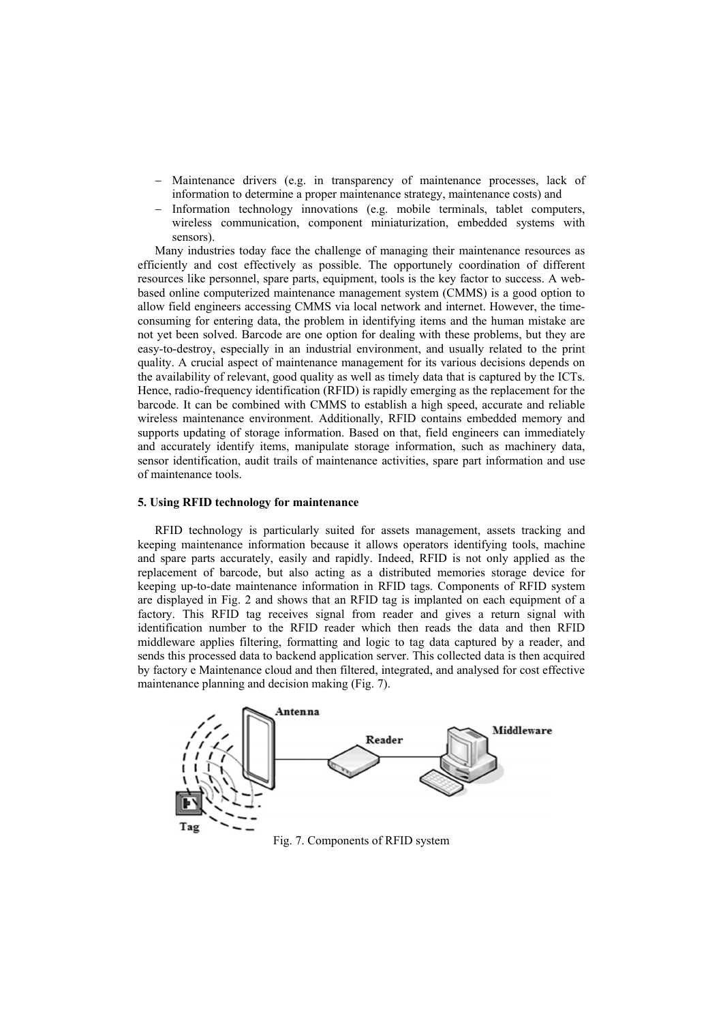- Maintenance drivers (e.g. in transparency of maintenance processes, lack of information to determine a proper maintenance strategy, maintenance costs) and
- Information technology innovations (e.g. mobile terminals, tablet computers, wireless communication, component miniaturization, embedded systems with sensors).

Many industries today face the challenge of managing their maintenance resources as efficiently and cost effectively as possible. The opportunely coordination of different resources like personnel, spare parts, equipment, tools is the key factor to success. A webbased online computerized maintenance management system (CMMS) is a good option to allow field engineers accessing CMMS via local network and internet. However, the timeconsuming for entering data, the problem in identifying items and the human mistake are not yet been solved. Barcode are one option for dealing with these problems, but they are easy-to-destroy, especially in an industrial environment, and usually related to the print quality. A crucial aspect of maintenance management for its various decisions depends on the availability of relevant, good quality as well as timely data that is captured by the ICTs. Hence, radio-frequency identification (RFID) is rapidly emerging as the replacement for the barcode. It can be combined with CMMS to establish a high speed, accurate and reliable wireless maintenance environment. Additionally, RFID contains embedded memory and supports updating of storage information. Based on that, field engineers can immediately and accurately identify items, manipulate storage information, such as machinery data, sensor identification, audit trails of maintenance activities, spare part information and use of maintenance tools.

### **5. Using RFID technology for maintenance**

RFID technology is particularly suited for assets management, assets tracking and keeping maintenance information because it allows operators identifying tools, machine and spare parts accurately, easily and rapidly. Indeed, RFID is not only applied as the replacement of barcode, but also acting as a distributed memories storage device for keeping up-to-date maintenance information in RFID tags. Components of RFID system are displayed in Fig. 2 and shows that an RFID tag is implanted on each equipment of a factory. This RFID tag receives signal from reader and gives a return signal with identification number to the RFID reader which then reads the data and then RFID middleware applies filtering, formatting and logic to tag data captured by a reader, and sends this processed data to backend application server. This collected data is then acquired by factory e Maintenance cloud and then filtered, integrated, and analysed for cost effective maintenance planning and decision making (Fig. 7).



Fig. 7. Components of RFID system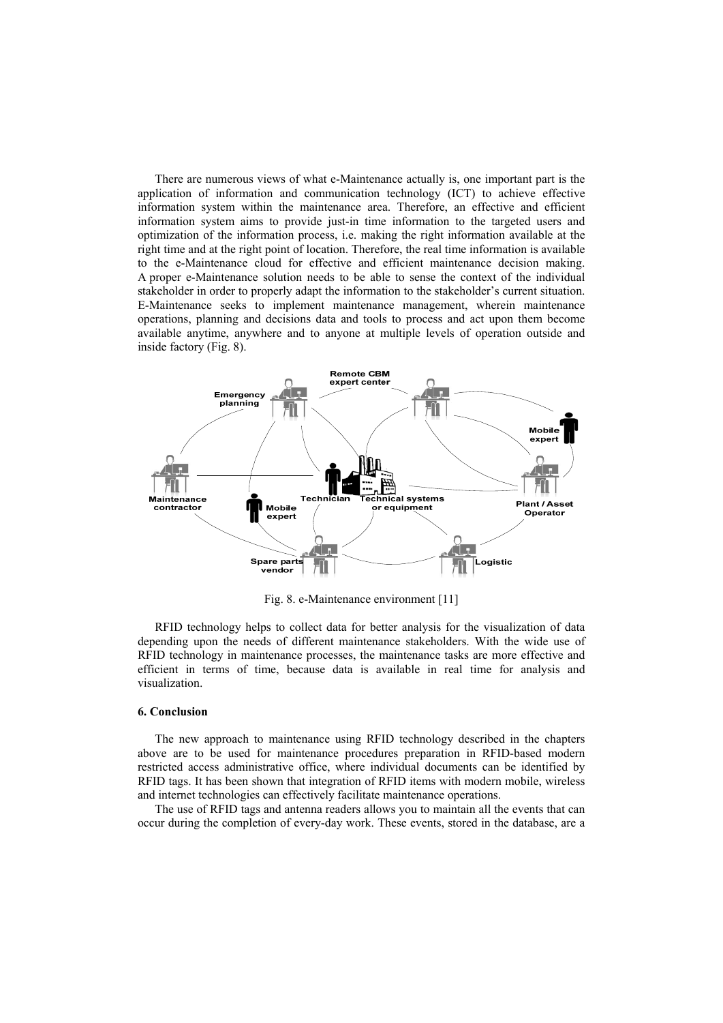There are numerous views of what e-Maintenance actually is, one important part is the application of information and communication technology (ICT) to achieve effective information system within the maintenance area. Therefore, an effective and efficient information system aims to provide just-in time information to the targeted users and optimization of the information process, i.e. making the right information available at the right time and at the right point of location. Therefore, the real time information is available to the e-Maintenance cloud for effective and efficient maintenance decision making. A proper e-Maintenance solution needs to be able to sense the context of the individual stakeholder in order to properly adapt the information to the stakeholder's current situation. E-Maintenance seeks to implement maintenance management, wherein maintenance operations, planning and decisions data and tools to process and act upon them become available anytime, anywhere and to anyone at multiple levels of operation outside and inside factory (Fig. 8).



Fig. 8. e-Maintenance environment [11]

RFID technology helps to collect data for better analysis for the visualization of data depending upon the needs of different maintenance stakeholders. With the wide use of RFID technology in maintenance processes, the maintenance tasks are more effective and efficient in terms of time, because data is available in real time for analysis and visualization.

## **6. Conclusion**

The new approach to maintenance using RFID technology described in the chapters above are to be used for maintenance procedures preparation in RFID-based modern restricted access administrative office, where individual documents can be identified by RFID tags. It has been shown that integration of RFID items with modern mobile, wireless and internet technologies can effectively facilitate maintenance operations.

The use of RFID tags and antenna readers allows you to maintain all the events that can occur during the completion of every-day work. These events, stored in the database, are a